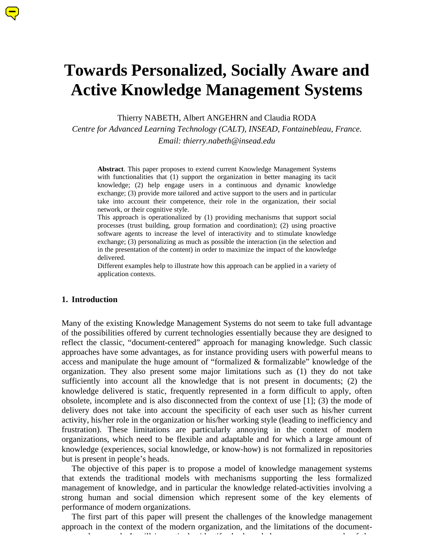# **Towards Personalized, Socially Aware and Active Knowledge Management Systems**

Thierry NABETH, Albert ANGEHRN and Claudia RODA

*Centre for Advanced Learning Technology (CALT), INSEAD, Fontainebleau, France.*

*Email: thierry.nabeth@insead.edu*

**Abstract**. This paper proposes to extend current Knowledge Management Systems with functionalities that (1) support the organization in better managing its tacit knowledge; (2) help engage users in a continuous and dynamic knowledge exchange; (3) provide more tailored and active support to the users and in particular take into account their competence, their role in the organization, their social network, or their cognitive style.

This approach is operationalized by (1) providing mechanisms that support social processes (trust building, group formation and coordination); (2) using proactive software agents to increase the level of interactivity and to stimulate knowledge exchange; (3) personalizing as much as possible the interaction (in the selection and in the presentation of the content) in order to maximize the impact of the knowledge delivered.

Different examples help to illustrate how this approach can be applied in a variety of application contexts.

#### **1. Introduction**

Many of the existing Knowledge Management Systems do not seem to take full advantage of the possibilities offered by current technologies essentially because they are designed to reflect the classic, "document-centered" approach for managing knowledge. Such classic approaches have some advantages, as for instance providing users with powerful means to access and manipulate the huge amount of "formalized & formalizable" knowledge of the organization. They also present some major limitations such as (1) they do not take sufficiently into account all the knowledge that is not present in documents; (2) the knowledge delivered is static, frequently represented in a form difficult to apply, often obsolete, incomplete and is also disconnected from the context of use [1]; (3) the mode of delivery does not take into account the specificity of each user such as his/her current activity, his/her role in the organization or his/her working style (leading to inefficiency and frustration). These limitations are particularly annoying in the context of modern organizations, which need to be flexible and adaptable and for which a large amount of knowledge (experiences, social knowledge, or know-how) is not formalized in repositories but is present in people's heads.

The objective of this paper is to propose a model of knowledge management systems that extends the traditional models with mechanisms supporting the less formalized management of knowledge, and in particular the knowledge related-activities involving a strong human and social dimension which represent some of the key elements of performance of modern organizations.

The first part of this paper will present the challenges of the knowledge management approach in the context of the modern organization, and the limitations of the documentcentered approach. It will intered approach. It will intered management needs of the knowledge management need<br>The knowledge management needs of the knowledge management needs of the knowledge management in the knowledge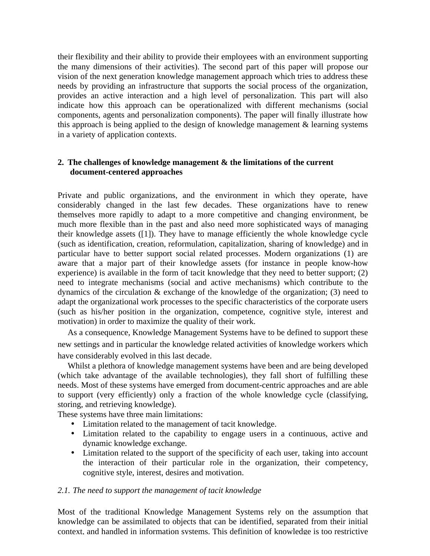their flexibility and their ability to provide their employees with an environment supporting the many dimensions of their activities). The second part of this paper will propose our vision of the next generation knowledge management approach which tries to address these needs by providing an infrastructure that supports the social process of the organization, provides an active interaction and a high level of personalization. This part will also indicate how this approach can be operationalized with different mechanisms (social components, agents and personalization components). The paper will finally illustrate how this approach is being applied to the design of knowledge management & learning systems in a variety of application contexts.

# **2. The challenges of knowledge management & the limitations of the current document-centered approaches**

Private and public organizations, and the environment in which they operate, have considerably changed in the last few decades. These organizations have to renew themselves more rapidly to adapt to a more competitive and changing environment, be much more flexible than in the past and also need more sophisticated ways of managing their knowledge assets ([1]). They have to manage efficiently the whole knowledge cycle (such as identification, creation, reformulation, capitalization, sharing of knowledge) and in particular have to better support social related processes. Modern organizations (1) are aware that a major part of their knowledge assets (for instance in people know-how experience) is available in the form of tacit knowledge that they need to better support; (2) need to integrate mechanisms (social and active mechanisms) which contribute to the dynamics of the circulation & exchange of the knowledge of the organization; (3) need to adapt the organizational work processes to the specific characteristics of the corporate users (such as his/her position in the organization, competence, cognitive style, interest and motivation) in order to maximize the quality of their work.

As a consequence, Knowledge Management Systems have to be defined to support these new settings and in particular the knowledge related activities of knowledge workers which have considerably evolved in this last decade.

Whilst a plethora of knowledge management systems have been and are being developed (which take advantage of the available technologies), they fall short of fulfilling these needs. Most of these systems have emerged from document-centric approaches and are able to support (very efficiently) only a fraction of the whole knowledge cycle (classifying, storing, and retrieving knowledge).

These systems have three main limitations:

- Limitation related to the management of tacit knowledge.
- Limitation related to the capability to engage users in a continuous, active and dynamic knowledge exchange.
- Limitation related to the support of the specificity of each user, taking into account the interaction of their particular role in the organization, their competency, cognitive style, interest, desires and motivation.

## *2.1. The need to support the management of tacit knowledge*

Most of the traditional Knowledge Management Systems rely on the assumption that knowledge can be assimilated to objects that can be identified, separated from their initial context, and handled in information systems. This definition of knowledge is too restrictive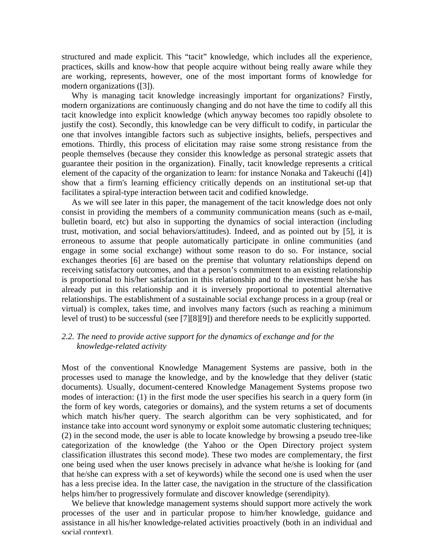structured and made explicit. This "tacit" knowledge, which includes all the experience, practices, skills and know-how that people acquire without being really aware while they are working, represents, however, one of the most important forms of knowledge for modern organizations ([3]).

Why is managing tacit knowledge increasingly important for organizations? Firstly, modern organizations are continuously changing and do not have the time to codify all this tacit knowledge into explicit knowledge (which anyway becomes too rapidly obsolete to justify the cost). Secondly, this knowledge can be very difficult to codify, in particular the one that involves intangible factors such as subjective insights, beliefs, perspectives and emotions. Thirdly, this process of elicitation may raise some strong resistance from the people themselves (because they consider this knowledge as personal strategic assets that guarantee their position in the organization). Finally, tacit knowledge represents a critical element of the capacity of the organization to learn: for instance Nonaka and Takeuchi ([4]) show that a firm's learning efficiency critically depends on an institutional set-up that facilitates a spiral-type interaction between tacit and codified knowledge.

As we will see later in this paper, the management of the tacit knowledge does not only consist in providing the members of a community communication means (such as e-mail, bulletin board, etc) but also in supporting the dynamics of social interaction (including trust, motivation, and social behaviors/attitudes). Indeed, and as pointed out by [5], it is erroneous to assume that people automatically participate in online communities (and engage in some social exchange) without some reason to do so. For instance, social exchanges theories [6] are based on the premise that voluntary relationships depend on receiving satisfactory outcomes, and that a person's commitment to an existing relationship is proportional to his/her satisfaction in this relationship and to the investment he/she has already put in this relationship and it is inversely proportional to potential alternative relationships. The establishment of a sustainable social exchange process in a group (real or virtual) is complex, takes time, and involves many factors (such as reaching a minimum level of trust) to be successful (see [7][8][9]) and therefore needs to be explicitly supported.

# *2.2. The need to provide active support for the dynamics of exchange and for the knowledge-related activity*

Most of the conventional Knowledge Management Systems are passive, both in the processes used to manage the knowledge, and by the knowledge that they deliver (static documents). Usually, document-centered Knowledge Management Systems propose two modes of interaction: (1) in the first mode the user specifies his search in a query form (in the form of key words, categories or domains), and the system returns a set of documents which match his/her query. The search algorithm can be very sophisticated, and for instance take into account word synonymy or exploit some automatic clustering techniques; (2) in the second mode, the user is able to locate knowledge by browsing a pseudo tree-like categorization of the knowledge (the Yahoo or the Open Directory project system classification illustrates this second mode). These two modes are complementary, the first one being used when the user knows precisely in advance what he/she is looking for (and that he/she can express with a set of keywords) while the second one is used when the user has a less precise idea. In the latter case, the navigation in the structure of the classification helps him/her to progressively formulate and discover knowledge (serendipity).

We believe that knowledge management systems should support more actively the work processes of the user and in particular propose to him/her knowledge, guidance and assistance in all his/her knowledge-related activities proactively (both in an individual and social context).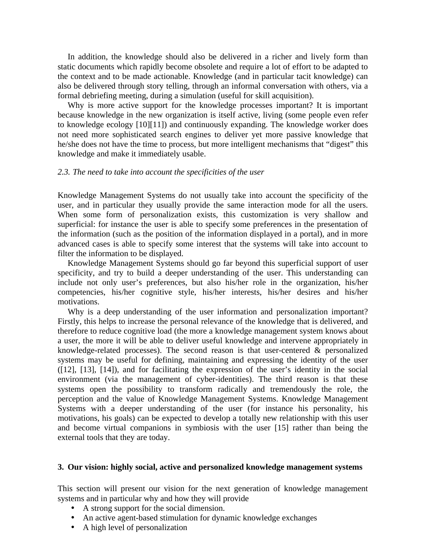In addition, the knowledge should also be delivered in a richer and lively form than static documents which rapidly become obsolete and require a lot of effort to be adapted to the context and to be made actionable. Knowledge (and in particular tacit knowledge) can also be delivered through story telling, through an informal conversation with others, via a formal debriefing meeting, during a simulation (useful for skill acquisition).

Why is more active support for the knowledge processes important? It is important because knowledge in the new organization is itself active, living (some people even refer to knowledge ecology [10][11]) and continuously expanding. The knowledge worker does not need more sophisticated search engines to deliver yet more passive knowledge that he/she does not have the time to process, but more intelligent mechanisms that "digest" this knowledge and make it immediately usable.

#### *2.3. The need to take into account the specificities of the user*

Knowledge Management Systems do not usually take into account the specificity of the user, and in particular they usually provide the same interaction mode for all the users. When some form of personalization exists, this customization is very shallow and superficial: for instance the user is able to specify some preferences in the presentation of the information (such as the position of the information displayed in a portal), and in more advanced cases is able to specify some interest that the systems will take into account to filter the information to be displayed.

Knowledge Management Systems should go far beyond this superficial support of user specificity, and try to build a deeper understanding of the user. This understanding can include not only user's preferences, but also his/her role in the organization, his/her competencies, his/her cognitive style, his/her interests, his/her desires and his/her motivations.

Why is a deep understanding of the user information and personalization important? Firstly, this helps to increase the personal relevance of the knowledge that is delivered, and therefore to reduce cognitive load (the more a knowledge management system knows about a user, the more it will be able to deliver useful knowledge and intervene appropriately in knowledge-related processes). The second reason is that user-centered & personalized systems may be useful for defining, maintaining and expressing the identity of the user ([12], [13], [14]), and for facilitating the expression of the user's identity in the social environment (via the management of cyber-identities). The third reason is that these systems open the possibility to transform radically and tremendously the role, the perception and the value of Knowledge Management Systems. Knowledge Management Systems with a deeper understanding of the user (for instance his personality, his motivations, his goals) can be expected to develop a totally new relationship with this user and become virtual companions in symbiosis with the user [15] rather than being the external tools that they are today.

#### **3. Our vision: highly social, active and personalized knowledge management systems**

This section will present our vision for the next generation of knowledge management systems and in particular why and how they will provide

- A strong support for the social dimension.
- An active agent-based stimulation for dynamic knowledge exchanges
- A high level of personalization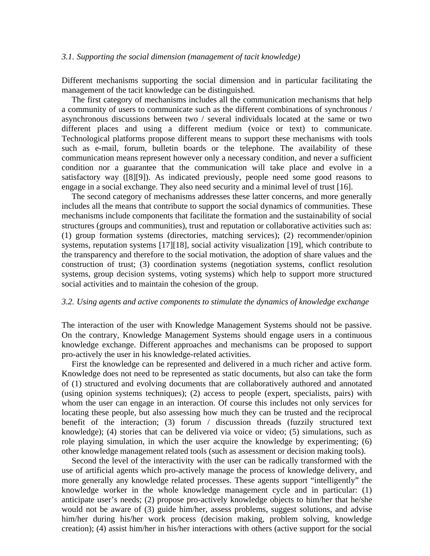#### *3.1. Supporting the social dimension (management of tacit knowledge)*

Different mechanisms supporting the social dimension and in particular facilitating the management of the tacit knowledge can be distinguished.

The first category of mechanisms includes all the communication mechanisms that help a community of users to communicate such as the different combinations of synchronous / asynchronous discussions between two / several individuals located at the same or two different places and using a different medium (voice or text) to communicate. Technological platforms propose different means to support these mechanisms with tools such as e-mail, forum, bulletin boards or the telephone. The availability of these communication means represent however only a necessary condition, and never a sufficient condition nor a guarantee that the communication will take place and evolve in a satisfactory way ([8][9]). As indicated previously, people need some good reasons to engage in a social exchange. They also need security and a minimal level of trust [16].

The second category of mechanisms addresses these latter concerns, and more generally includes all the means that contribute to support the social dynamics of communities. These mechanisms include components that facilitate the formation and the sustainability of social structures (groups and communities), trust and reputation or collaborative activities such as: (1) group formation systems (directories, matching services); (2) recommender/opinion systems, reputation systems [17][18], social activity visualization [19], which contribute to the transparency and therefore to the social motivation, the adoption of share values and the construction of trust; (3) coordination systems (negotiation systems, conflict resolution systems, group decision systems, voting systems) which help to support more structured social activities and to maintain the cohesion of the group.

#### *3.2. Using agents and active components to stimulate the dynamics of knowledge exchange*

The interaction of the user with Knowledge Management Systems should not be passive. On the contrary, Knowledge Management Systems should engage users in a continuous knowledge exchange. Different approaches and mechanisms can be proposed to support pro-actively the user in his knowledge-related activities.

First the knowledge can be represented and delivered in a much richer and active form. Knowledge does not need to be represented as static documents, but also can take the form of (1) structured and evolving documents that are collaboratively authored and annotated (using opinion systems techniques); (2) access to people (expert, specialists, pairs) with whom the user can engage in an interaction. Of course this includes not only services for locating these people, but also assessing how much they can be trusted and the reciprocal benefit of the interaction; (3) forum / discussion threads (fuzzily structured text knowledge); (4) stories that can be delivered via voice or video; (5) simulations, such as role playing simulation, in which the user acquire the knowledge by experimenting; (6) other knowledge management related tools (such as assessment or decision making tools).

Second the level of the interactivity with the user can be radically transformed with the use of artificial agents which pro-actively manage the process of knowledge delivery, and more generally any knowledge related processes. These agents support "intelligently" the knowledge worker in the whole knowledge management cycle and in particular: (1) anticipate user's needs; (2) propose pro-actively knowledge objects to him/her that he/she would not be aware of (3) guide him/her, assess problems, suggest solutions, and advise him/her during his/her work process (decision making, problem solving, knowledge creation); (4) assist him/her in his/her interactions with others (active support for the social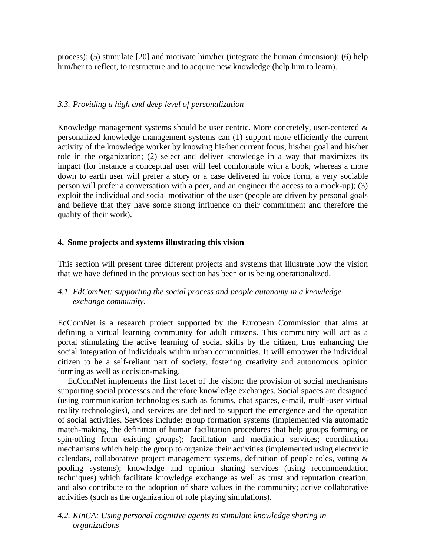process); (5) stimulate [20] and motivate him/her (integrate the human dimension); (6) help him/her to reflect, to restructure and to acquire new knowledge (help him to learn).

## *3.3. Providing a high and deep level of personalization*

Knowledge management systems should be user centric. More concretely, user-centered  $\&$ personalized knowledge management systems can (1) support more efficiently the current activity of the knowledge worker by knowing his/her current focus, his/her goal and his/her role in the organization; (2) select and deliver knowledge in a way that maximizes its impact (for instance a conceptual user will feel comfortable with a book, whereas a more down to earth user will prefer a story or a case delivered in voice form, a very sociable person will prefer a conversation with a peer, and an engineer the access to a mock-up); (3) exploit the individual and social motivation of the user (people are driven by personal goals and believe that they have some strong influence on their commitment and therefore the quality of their work).

## **4. Some projects and systems illustrating this vision**

This section will present three different projects and systems that illustrate how the vision that we have defined in the previous section has been or is being operationalized.

# *4.1. EdComNet: supporting the social process and people autonomy in a knowledge exchange community.*

EdComNet is a research project supported by the European Commission that aims at defining a virtual learning community for adult citizens. This community will act as a portal stimulating the active learning of social skills by the citizen, thus enhancing the social integration of individuals within urban communities. It will empower the individual citizen to be a self-reliant part of society, fostering creativity and autonomous opinion forming as well as decision-making.

EdComNet implements the first facet of the vision: the provision of social mechanisms supporting social processes and therefore knowledge exchanges. Social spaces are designed (using communication technologies such as forums, chat spaces, e-mail, multi-user virtual reality technologies), and services are defined to support the emergence and the operation of social activities. Services include: group formation systems (implemented via automatic match-making, the definition of human facilitation procedures that help groups forming or spin-offing from existing groups); facilitation and mediation services; coordination mechanisms which help the group to organize their activities (implemented using electronic calendars, collaborative project management systems, definition of people roles, voting & pooling systems); knowledge and opinion sharing services (using recommendation techniques) which facilitate knowledge exchange as well as trust and reputation creation, and also contribute to the adoption of share values in the community; active collaborative activities (such as the organization of role playing simulations).

# *4.2. KInCA: Using personal cognitive agents to stimulate knowledge sharing in organizations*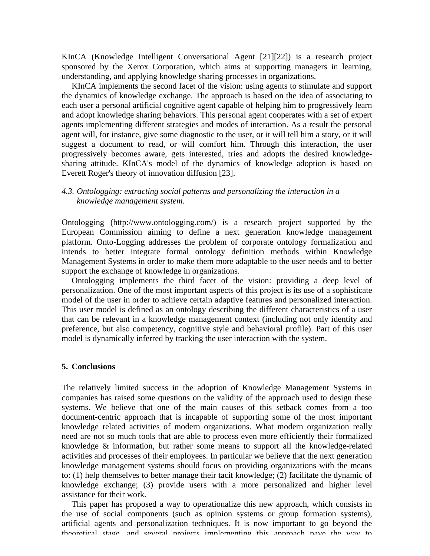KInCA (Knowledge Intelligent Conversational Agent [21][22]) is a research project sponsored by the Xerox Corporation, which aims at supporting managers in learning, understanding, and applying knowledge sharing processes in organizations.

KInCA implements the second facet of the vision: using agents to stimulate and support the dynamics of knowledge exchange. The approach is based on the idea of associating to each user a personal artificial cognitive agent capable of helping him to progressively learn and adopt knowledge sharing behaviors. This personal agent cooperates with a set of expert agents implementing different strategies and modes of interaction. As a result the personal agent will, for instance, give some diagnostic to the user, or it will tell him a story, or it will suggest a document to read, or will comfort him. Through this interaction, the user progressively becomes aware, gets interested, tries and adopts the desired knowledgesharing attitude. KInCA's model of the dynamics of knowledge adoption is based on Everett Roger's theory of innovation diffusion [23].

## *4.3. Ontologging: extracting social patterns and personalizing the interaction in a knowledge management system.*

Ontologging (http://www.ontologging.com/) is a research project supported by the European Commission aiming to define a next generation knowledge management platform. Onto-Logging addresses the problem of corporate ontology formalization and intends to better integrate formal ontology definition methods within Knowledge Management Systems in order to make them more adaptable to the user needs and to better support the exchange of knowledge in organizations.

Ontologging implements the third facet of the vision: providing a deep level of personalization. One of the most important aspects of this project is its use of a sophisticate model of the user in order to achieve certain adaptive features and personalized interaction. This user model is defined as an ontology describing the different characteristics of a user that can be relevant in a knowledge management context (including not only identity and preference, but also competency, cognitive style and behavioral profile). Part of this user model is dynamically inferred by tracking the user interaction with the system.

## **5. Conclusions**

The relatively limited success in the adoption of Knowledge Management Systems in companies has raised some questions on the validity of the approach used to design these systems. We believe that one of the main causes of this setback comes from a too document-centric approach that is incapable of supporting some of the most important knowledge related activities of modern organizations. What modern organization really need are not so much tools that are able to process even more efficiently their formalized knowledge & information, but rather some means to support all the knowledge-related activities and processes of their employees. In particular we believe that the next generation knowledge management systems should focus on providing organizations with the means to: (1) help themselves to better manage their tacit knowledge; (2) facilitate the dynamic of knowledge exchange; (3) provide users with a more personalized and higher level assistance for their work.

This paper has proposed a way to operationalize this new approach, which consists in the use of social components (such as opinion systems or group formation systems), artificial agents and personalization techniques. It is now important to go beyond the theoretical stage, and several projects implementing this approach pave the way to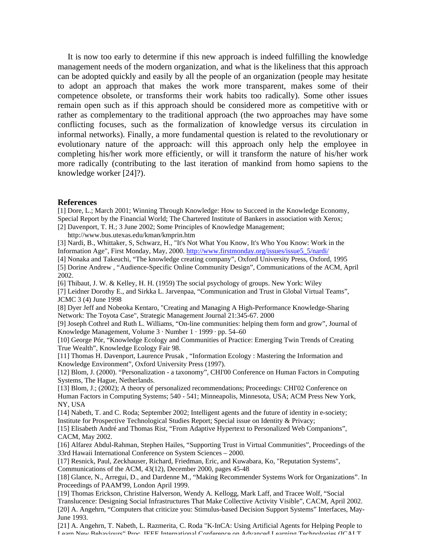It is now too early to determine if this new approach is indeed fulfilling the knowledge management needs of the modern organization, and what is the likeliness that this approach can be adopted quickly and easily by all the people of an organization (people may hesitate to adopt an approach that makes the work more transparent, makes some of their competence obsolete, or transforms their work habits too radically). Some other issues remain open such as if this approach should be considered more as competitive with or rather as complementary to the traditional approach (the two approaches may have some conflicting focuses, such as the formalization of knowledge versus its circulation in informal networks). Finally, a more fundamental question is related to the revolutionary or evolutionary nature of the approach: will this approach only help the employee in completing his/her work more efficiently, or will it transform the nature of his/her work more radically (contributing to the last iteration of mankind from homo sapiens to the knowledge worker [24]?).

#### **References**

[1] Dore, L.; March 2001; Winning Through Knowledge: How to Succeed in the Knowledge Economy, Special Report by the Financial World; The Chartered Institute of Bankers in association with Xerox; [2] Davenport, T. H.; 3 June 2002; Some Principles of Knowledge Management;

http://www.bus.utexas.edu/kman/kmprin.htm

[3] Nardi, B., Whittaker, S, Schwarz, H., "It's Not What You Know, It's Who You Know: Work in the Information Age", First Monday, May, 2000. http://www.firstmonday.org/issues/issue5\_5/nardi/

[4] Nonaka and Takeuchi, "The knowledge creating company", Oxford University Press, Oxford, 1995 [5] Dorine Andrew , "Audience-Specific Online Community Design", Communications of the ACM, April 2002.

[6] Thibaut, J. W. & Kelley, H. H. (1959) The social psychology of groups. New York: Wiley [7] Leidner Dorothy E., and Sirkka L. Jarvenpaa, "Communication and Trust in Global Virtual Teams", JCMC 3 (4) June 1998

[8] Dyer Jeff and Nobeoka Kentaro, "Creating and Managing A High-Performance Knowledge-Sharing Network: The Toyota Case", Strategic Management Journal 21:345-67. 2000

[9] Joseph Cothrel and Ruth L. Williams, "On-line communities: helping them form and grow", Journal of Knowledge Management, Volume 3 · Number 1 · 1999 · pp. 54–60

[10] George Pór, "Knowledge Ecology and Communities of Practice: Emerging Twin Trends of Creating True Wealth", Knowledge Ecology Fair 98.

[11] Thomas H. Davenport, Laurence Prusak , "Information Ecology : Mastering the Information and Knowledge Environment", Oxford University Press (1997).

[12] Blom, J. (2000). "Personalization - a taxonomy", CHI'00 Conference on Human Factors in Computing Systems, The Hague, Netherlands.

[13] Blom, J.; (2002); A theory of personalized recommendations; Proceedings: CHI'02 Conference on Human Factors in Computing Systems; 540 - 541; Minneapolis, Minnesota, USA; ACM Press New York, NY, USA

[14] Nabeth, T. and C. Roda; September 2002; Intelligent agents and the future of identity in e-society; Institute for Prospective Technological Studies Report; Special issue on Identity & Privacy;

[15] Elisabeth André and Thomas Rist, "From Adaptive Hypertext to Personalized Web Companions", CACM, May 2002.

[16] Alfarez Abdul-Rahman, Stephen Hailes, "Supporting Trust in Virtual Communities", Proceedings of the 33rd Hawaii International Conference on System Sciences – 2000.

[17] Resnick, Paul, Zeckhauser, Richard, Friedman, Eric, and Kuwabara, Ko, "Reputation Systems",

Communications of the ACM, 43(12), December 2000, pages 45-48

[18] Glance, N., Arregui, D., and Dardenne M., "Making Recommender Systems Work for Organizations". In Proceedings of PAAM'99, London April 1999.

[19] Thomas Erickson, Christine Halverson, Wendy A. Kellogg, Mark Laff, and Tracee Wolf, "Social Translucence: Designing Social Infrastructures That Make Collective Activity Visible", CACM, April 2002. [20] A. Angehrn, "Computers that criticize you: Stimulus-based Decision Support Systems" Interfaces, May-June 1993.

[21] A. Angehrn, T. Nabeth, L. Razmerita, C. Roda "K-InCA: Using Artificial Agents for Helping People to -<br>Learn New Rehaviours" Proc. IEEE International Conference on Δdvanced Learning Technologies (ICΔI T